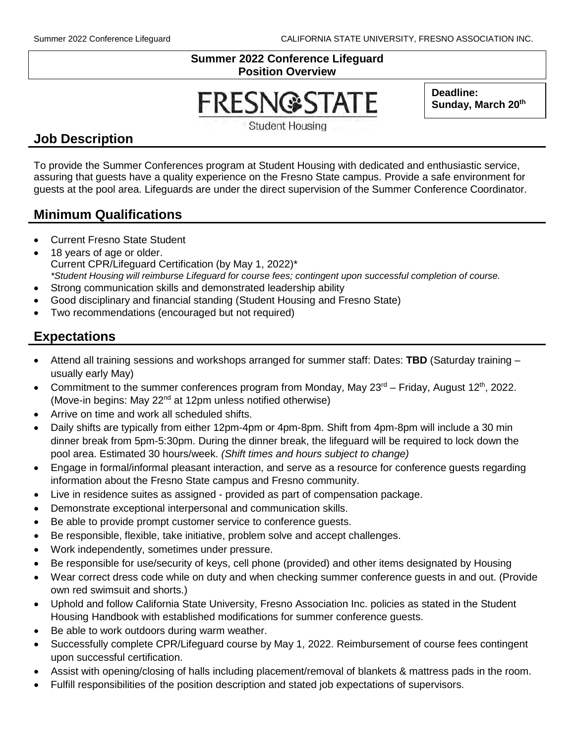#### **Summer 2022 Conference Lifeguard Position Overview**

# **FRESN@STATE**

**Deadline:**  Sunday, March 20<sup>th</sup>

**Student Housing** 

## **Job Description**

To provide the Summer Conferences program at Student Housing with dedicated and enthusiastic service, assuring that guests have a quality experience on the Fresno State campus. Provide a safe environment for guests at the pool area. Lifeguards are under the direct supervision of the Summer Conference Coordinator.

#### **Minimum Qualifications**

- Current Fresno State Student
- 18 years of age or older. Current CPR/Lifeguard Certification (by May 1, 2022)\* *\*Student Housing will reimburse Lifeguard for course fees; contingent upon successful completion of course.*
- Strong communication skills and demonstrated leadership ability
- Good disciplinary and financial standing (Student Housing and Fresno State)
- Two recommendations (encouraged but not required)

# **Expectations**

- Attend all training sessions and workshops arranged for summer staff: Dates: **TBD** (Saturday training usually early May)
- Commitment to the summer conferences program from Monday, May  $23<sup>rd</sup>$  Friday, August 12<sup>th</sup>, 2022. (Move-in begins: May 22nd at 12pm unless notified otherwise)
- Arrive on time and work all scheduled shifts.
- Daily shifts are typically from either 12pm-4pm or 4pm-8pm. Shift from 4pm-8pm will include a 30 min dinner break from 5pm-5:30pm. During the dinner break, the lifeguard will be required to lock down the pool area. Estimated 30 hours/week. *(Shift times and hours subject to change)*
- Engage in formal/informal pleasant interaction, and serve as a resource for conference guests regarding information about the Fresno State campus and Fresno community.
- Live in residence suites as assigned provided as part of compensation package.
- Demonstrate exceptional interpersonal and communication skills.
- Be able to provide prompt customer service to conference guests.
- Be responsible, flexible, take initiative, problem solve and accept challenges.
- Work independently, sometimes under pressure.
- Be responsible for use/security of keys, cell phone (provided) and other items designated by Housing
- Wear correct dress code while on duty and when checking summer conference guests in and out. (Provide own red swimsuit and shorts.)
- Uphold and follow California State University, Fresno Association Inc. policies as stated in the Student Housing Handbook with established modifications for summer conference guests.
- Be able to work outdoors during warm weather.
- Successfully complete CPR/Lifeguard course by May 1, 2022. Reimbursement of course fees contingent upon successful certification.
- Assist with opening/closing of halls including placement/removal of blankets & mattress pads in the room.
- Fulfill responsibilities of the position description and stated job expectations of supervisors.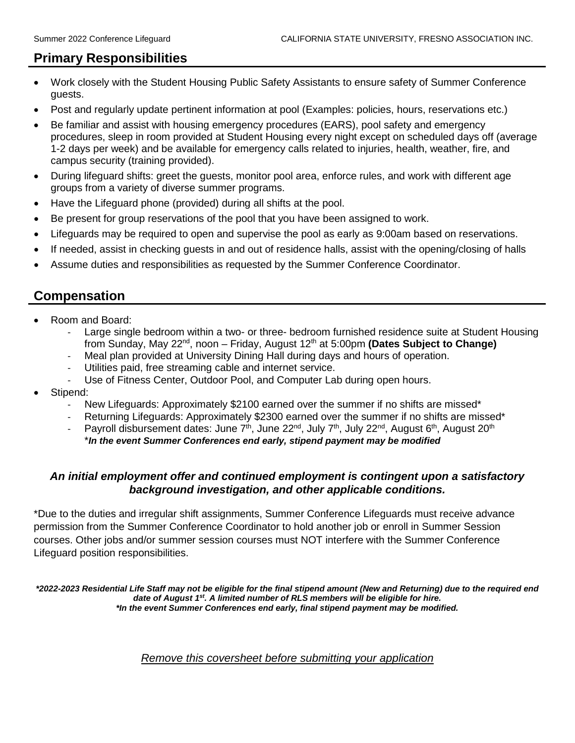## **Primary Responsibilities**

- Work closely with the Student Housing Public Safety Assistants to ensure safety of Summer Conference guests.
- Post and regularly update pertinent information at pool (Examples: policies, hours, reservations etc.)
- Be familiar and assist with housing emergency procedures (EARS), pool safety and emergency procedures, sleep in room provided at Student Housing every night except on scheduled days off (average 1-2 days per week) and be available for emergency calls related to injuries, health, weather, fire, and campus security (training provided).
- During lifeguard shifts: greet the guests, monitor pool area, enforce rules, and work with different age groups from a variety of diverse summer programs.
- Have the Lifeguard phone (provided) during all shifts at the pool.
- Be present for group reservations of the pool that you have been assigned to work.
- Lifeguards may be required to open and supervise the pool as early as 9:00am based on reservations.
- If needed, assist in checking guests in and out of residence halls, assist with the opening/closing of halls
- Assume duties and responsibilities as requested by the Summer Conference Coordinator.

## **Compensation**

- Room and Board:
	- Large single bedroom within a two- or three- bedroom furnished residence suite at Student Housing from Sunday, May 22<sup>nd</sup>, noon – Friday, August 12<sup>th</sup> at 5:00pm **(Dates Subject to Change)**
	- Meal plan provided at University Dining Hall during days and hours of operation.
	- Utilities paid, free streaming cable and internet service.
	- Use of Fitness Center, Outdoor Pool, and Computer Lab during open hours.
- Stipend:
	- New Lifeguards: Approximately \$2100 earned over the summer if no shifts are missed\*
	- Returning Lifeguards: Approximately \$2300 earned over the summer if no shifts are missed\*
	- Payroll disbursement dates: June  $7<sup>th</sup>$ , June 22<sup>nd</sup>, July  $7<sup>th</sup>$ , July 22<sup>nd</sup>, August 6<sup>th</sup>, August 20<sup>th</sup> \**In the event Summer Conferences end early, stipend payment may be modified*

#### *An initial employment offer and continued employment is contingent upon a satisfactory background investigation, and other applicable conditions.*

\*Due to the duties and irregular shift assignments, Summer Conference Lifeguards must receive advance permission from the Summer Conference Coordinator to hold another job or enroll in Summer Session courses. Other jobs and/or summer session courses must NOT interfere with the Summer Conference Lifeguard position responsibilities.

*\*2022-2023 Residential Life Staff may not be eligible for the final stipend amount (New and Returning) due to the required end date of August 1st. A limited number of RLS members will be eligible for hire. \*In the event Summer Conferences end early, final stipend payment may be modified.*

#### *Remove this coversheet before submitting your application*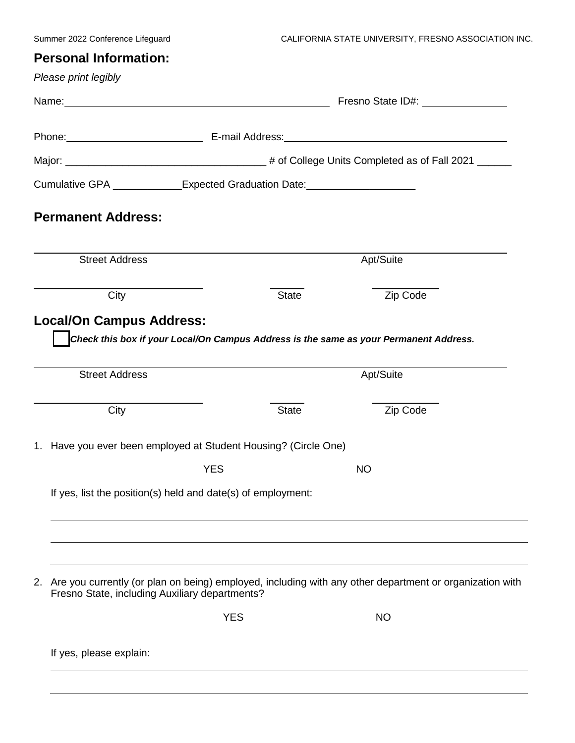# **Personal Information:**

| Please print legibly                                                             |              |                                                                                                                |
|----------------------------------------------------------------------------------|--------------|----------------------------------------------------------------------------------------------------------------|
| Name: Name:                                                                      |              | Fresno State ID#: University Presno State ID:                                                                  |
|                                                                                  |              |                                                                                                                |
|                                                                                  |              |                                                                                                                |
| Cumulative GPA _____________Expected Graduation Date: __________________________ |              |                                                                                                                |
| <b>Permanent Address:</b>                                                        |              |                                                                                                                |
| <b>Street Address</b>                                                            |              | Apt/Suite                                                                                                      |
| City                                                                             | <b>State</b> | Zip Code                                                                                                       |
| <b>Street Address</b><br>City                                                    | <b>State</b> | Check this box if your Local/On Campus Address is the same as your Permanent Address.<br>Apt/Suite<br>Zip Code |
| 1. Have you ever been employed at Student Housing? (Circle One)                  |              |                                                                                                                |
|                                                                                  | <b>YES</b>   | <b>NO</b>                                                                                                      |
| If yes, list the position(s) held and date(s) of employment:                     |              |                                                                                                                |
|                                                                                  |              |                                                                                                                |
| 2.<br>Fresno State, including Auxiliary departments?                             |              | Are you currently (or plan on being) employed, including with any other department or organization with        |
|                                                                                  | <b>YES</b>   | <b>NO</b>                                                                                                      |
| If yes, please explain:                                                          |              |                                                                                                                |
|                                                                                  |              |                                                                                                                |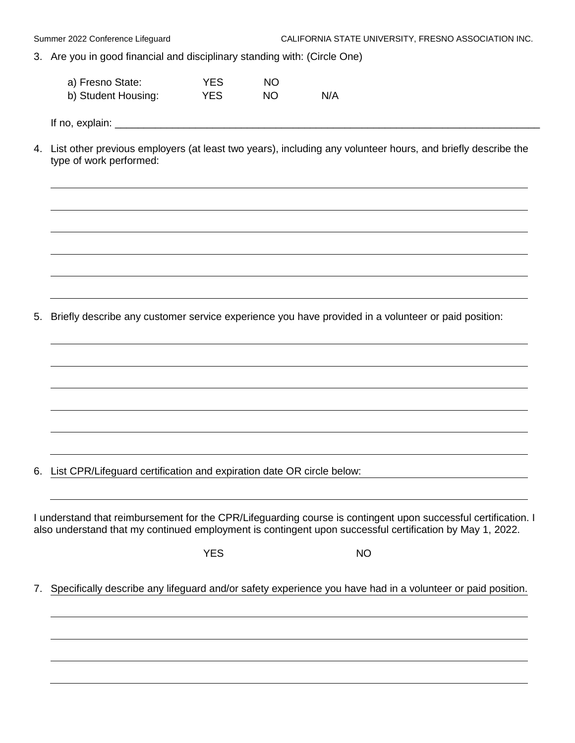3. Are you in good financial and disciplinary standing with: (Circle One)

| a) Fresno State:    | YES  | NO. |     |
|---------------------|------|-----|-----|
| b) Student Housing: | YES. | NO. | N/A |

If no, explain:  $\Box$ 

4. List other previous employers (at least two years), including any volunteer hours, and briefly describe the type of work performed:

5. Briefly describe any customer service experience you have provided in a volunteer or paid position:

6. List CPR/Lifeguard certification and expiration date OR circle below:

I understand that reimbursement for the CPR/Lifeguarding course is contingent upon successful certification. I also understand that my continued employment is contingent upon successful certification by May 1, 2022.

YES NO

7. Specifically describe any lifeguard and/or safety experience you have had in a volunteer or paid position.